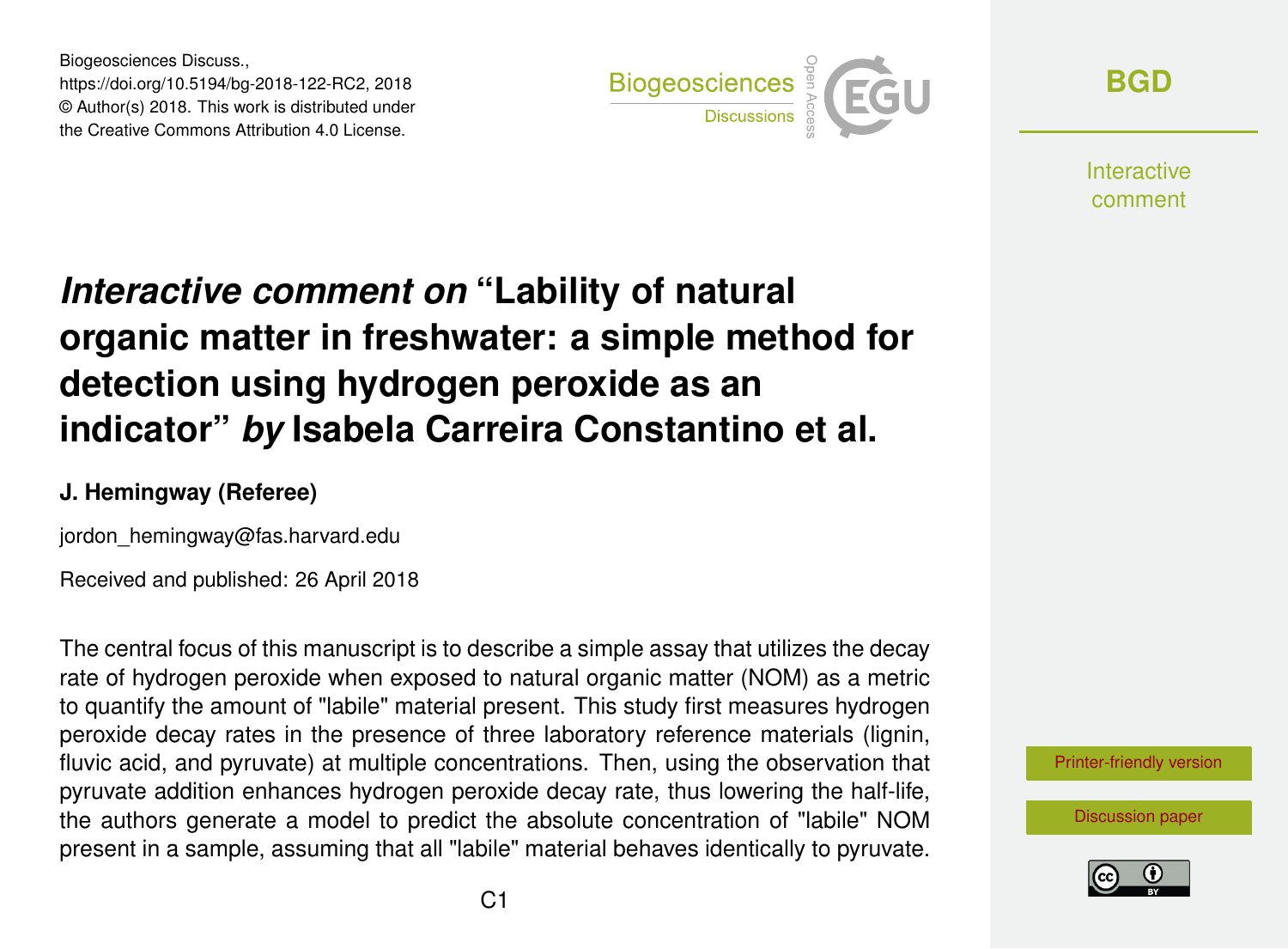Biogeosciences Discuss., https://doi.org/10.5194/bg-2018-122-RC2, 2018 © Author(s) 2018. This work is distributed under the Creative Commons Attribution 4.0 License.



**[BGD](https://www.biogeosciences-discuss.net/)**

**Interactive** comment

# *Interactive comment on* **"Lability of natural organic matter in freshwater: a simple method for detection using hydrogen peroxide as an indicator"** *by* **Isabela Carreira Constantino et al.**

#### **J. Hemingway (Referee)**

jordon\_hemingway@fas.harvard.edu

Received and published: 26 April 2018

The central focus of this manuscript is to describe a simple assay that utilizes the decay rate of hydrogen peroxide when exposed to natural organic matter (NOM) as a metric to quantify the amount of "labile" material present. This study first measures hydrogen peroxide decay rates in the presence of three laboratory reference materials (lignin, fluvic acid, and pyruvate) at multiple concentrations. Then, using the observation that pyruvate addition enhances hydrogen peroxide decay rate, thus lowering the half-life, the authors generate a model to predict the absolute concentration of "labile" NOM present in a sample, assuming that all "labile" material behaves identically to pyruvate.

[Printer-friendly version](https://www.biogeosciences-discuss.net/bg-2018-122/bg-2018-122-RC2-print.pdf)

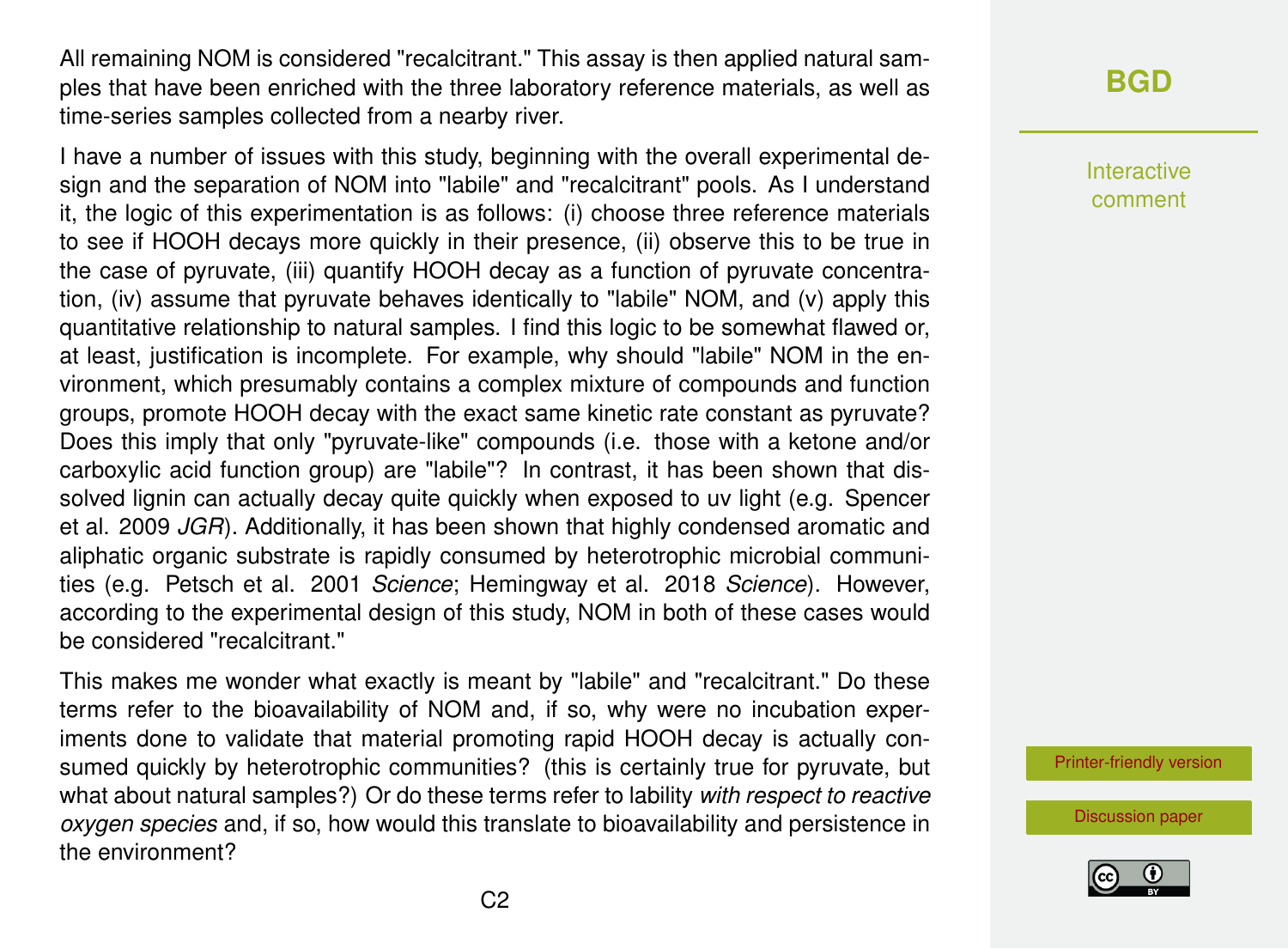All remaining NOM is considered "recalcitrant." This assay is then applied natural samples that have been enriched with the three laboratory reference materials, as well as time-series samples collected from a nearby river.

I have a number of issues with this study, beginning with the overall experimental design and the separation of NOM into "labile" and "recalcitrant" pools. As I understand it, the logic of this experimentation is as follows: (i) choose three reference materials to see if HOOH decays more quickly in their presence, (ii) observe this to be true in the case of pyruvate, (iii) quantify HOOH decay as a function of pyruvate concentration, (iv) assume that pyruvate behaves identically to "labile" NOM, and (v) apply this quantitative relationship to natural samples. I find this logic to be somewhat flawed or, at least, justification is incomplete. For example, why should "labile" NOM in the environment, which presumably contains a complex mixture of compounds and function groups, promote HOOH decay with the exact same kinetic rate constant as pyruvate? Does this imply that only "pyruvate-like" compounds (i.e. those with a ketone and/or carboxylic acid function group) are "labile"? In contrast, it has been shown that dissolved lignin can actually decay quite quickly when exposed to uv light (e.g. Spencer et al. 2009 *JGR*). Additionally, it has been shown that highly condensed aromatic and aliphatic organic substrate is rapidly consumed by heterotrophic microbial communities (e.g. Petsch et al. 2001 *Science*; Hemingway et al. 2018 *Science*). However, according to the experimental design of this study, NOM in both of these cases would be considered "recalcitrant."

This makes me wonder what exactly is meant by "labile" and "recalcitrant." Do these terms refer to the bioavailability of NOM and, if so, why were no incubation experiments done to validate that material promoting rapid HOOH decay is actually consumed quickly by heterotrophic communities? (this is certainly true for pyruvate, but what about natural samples?) Or do these terms refer to lability *with respect to reactive oxygen species* and, if so, how would this translate to bioavailability and persistence in the environment?

## **[BGD](https://www.biogeosciences-discuss.net/)**

Interactive comment

[Printer-friendly version](https://www.biogeosciences-discuss.net/bg-2018-122/bg-2018-122-RC2-print.pdf)

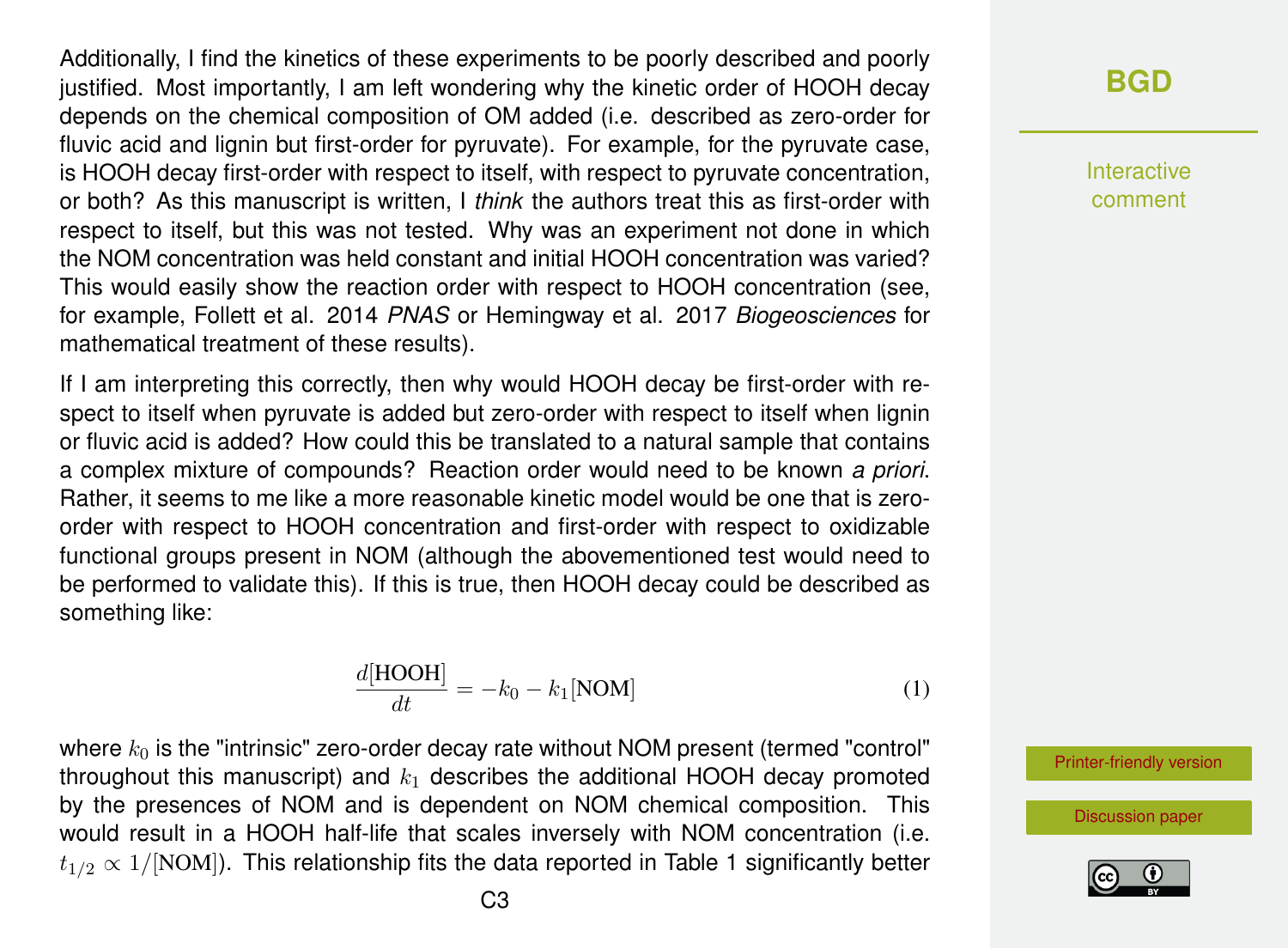Additionally, I find the kinetics of these experiments to be poorly described and poorly justified. Most importantly, I am left wondering why the kinetic order of HOOH decay depends on the chemical composition of OM added (i.e. described as zero-order for fluvic acid and lignin but first-order for pyruvate). For example, for the pyruvate case, is HOOH decay first-order with respect to itself, with respect to pyruvate concentration, or both? As this manuscript is written, I *think* the authors treat this as first-order with respect to itself, but this was not tested. Why was an experiment not done in which the NOM concentration was held constant and initial HOOH concentration was varied? This would easily show the reaction order with respect to HOOH concentration (see, for example, Follett et al. 2014 *PNAS* or Hemingway et al. 2017 *Biogeosciences* for mathematical treatment of these results).

If I am interpreting this correctly, then why would HOOH decay be first-order with respect to itself when pyruvate is added but zero-order with respect to itself when lignin or fluvic acid is added? How could this be translated to a natural sample that contains a complex mixture of compounds? Reaction order would need to be known *a priori*. Rather, it seems to me like a more reasonable kinetic model would be one that is zeroorder with respect to HOOH concentration and first-order with respect to oxidizable functional groups present in NOM (although the abovementioned test would need to be performed to validate this). If this is true, then HOOH decay could be described as something like:

$$
\frac{d[\text{HOOH}]}{dt} = -k_0 - k_1[\text{NOM}] \tag{1}
$$

where  $k_0$  is the "intrinsic" zero-order decay rate without NOM present (termed "control" throughout this manuscript) and  $k_1$  describes the additional HOOH decay promoted by the presences of NOM and is dependent on NOM chemical composition. This would result in a HOOH half-life that scales inversely with NOM concentration (i.e.  $t_{1/2} \propto 1/[\text{NOM}]$ ). This relationship fits the data reported in Table 1 significantly better

## **[BGD](https://www.biogeosciences-discuss.net/)**

Interactive comment

[Printer-friendly version](https://www.biogeosciences-discuss.net/bg-2018-122/bg-2018-122-RC2-print.pdf)

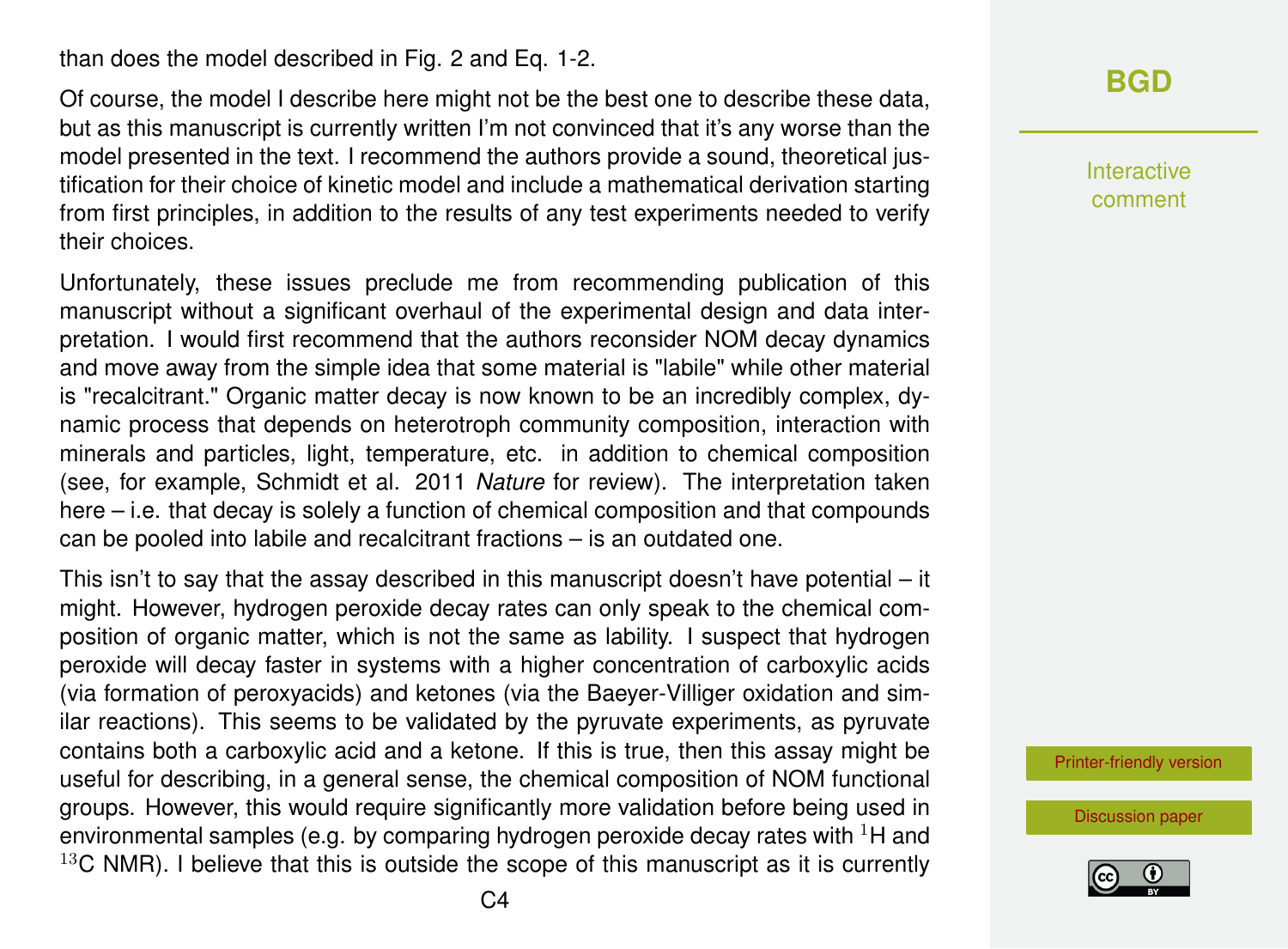than does the model described in Fig. 2 and Eq. 1-2.

Of course, the model I describe here might not be the best one to describe these data, but as this manuscript is currently written I'm not convinced that it's any worse than the model presented in the text. I recommend the authors provide a sound, theoretical justification for their choice of kinetic model and include a mathematical derivation starting from first principles, in addition to the results of any test experiments needed to verify their choices.

Unfortunately, these issues preclude me from recommending publication of this manuscript without a significant overhaul of the experimental design and data interpretation. I would first recommend that the authors reconsider NOM decay dynamics and move away from the simple idea that some material is "labile" while other material is "recalcitrant." Organic matter decay is now known to be an incredibly complex, dynamic process that depends on heterotroph community composition, interaction with minerals and particles, light, temperature, etc. in addition to chemical composition (see, for example, Schmidt et al. 2011 *Nature* for review). The interpretation taken here – i.e. that decay is solely a function of chemical composition and that compounds can be pooled into labile and recalcitrant fractions – is an outdated one.

This isn't to say that the assay described in this manuscript doesn't have potential – it might. However, hydrogen peroxide decay rates can only speak to the chemical composition of organic matter, which is not the same as lability. I suspect that hydrogen peroxide will decay faster in systems with a higher concentration of carboxylic acids (via formation of peroxyacids) and ketones (via the Baeyer-Villiger oxidation and similar reactions). This seems to be validated by the pyruvate experiments, as pyruvate contains both a carboxylic acid and a ketone. If this is true, then this assay might be useful for describing, in a general sense, the chemical composition of NOM functional groups. However, this would require significantly more validation before being used in environmental samples (e.g. by comparing hydrogen peroxide decay rates with  ${}^{1}$ H and  $13<sup>C</sup>$  NMR). I believe that this is outside the scope of this manuscript as it is currently

## **[BGD](https://www.biogeosciences-discuss.net/)**

Interactive comment

[Printer-friendly version](https://www.biogeosciences-discuss.net/bg-2018-122/bg-2018-122-RC2-print.pdf)